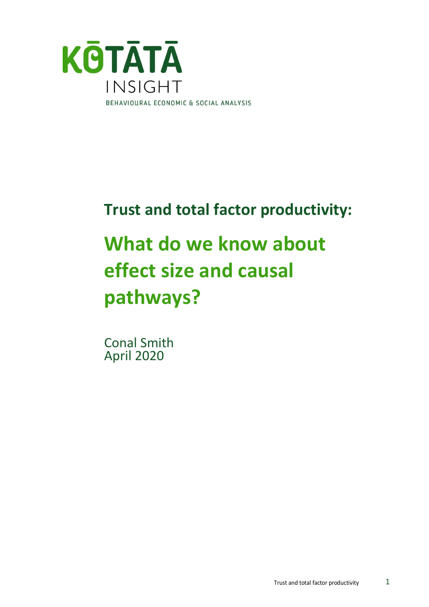

# **Trust and total factor productivity:**

# **What do we know about effect size and causal pathways?**

Conal Smith April 2020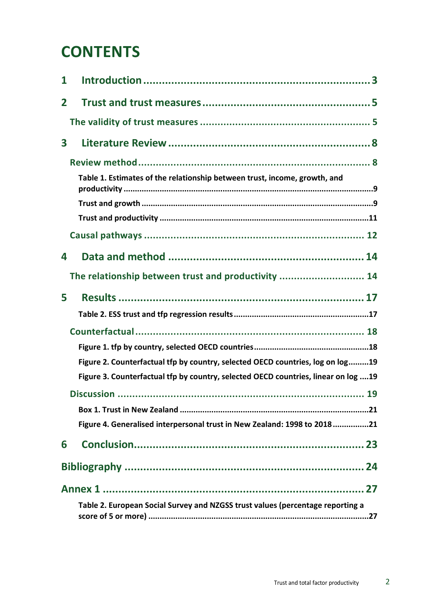## **CONTENTS**

| 1            |                                                                                    |
|--------------|------------------------------------------------------------------------------------|
| $\mathbf{2}$ |                                                                                    |
|              |                                                                                    |
| 3            |                                                                                    |
|              |                                                                                    |
|              | Table 1. Estimates of the relationship between trust, income, growth, and          |
|              |                                                                                    |
|              |                                                                                    |
|              |                                                                                    |
| 4            |                                                                                    |
|              | The relationship between trust and productivity  14                                |
| 5            |                                                                                    |
|              |                                                                                    |
|              |                                                                                    |
|              |                                                                                    |
|              | Figure 2. Counterfactual tfp by country, selected OECD countries, log on log19     |
|              | Figure 3. Counterfactual tfp by country, selected OECD countries, linear on log 19 |
|              |                                                                                    |
|              |                                                                                    |
|              | Figure 4. Generalised interpersonal trust in New Zealand: 1998 to 201821           |
| 6            |                                                                                    |
|              |                                                                                    |
|              |                                                                                    |
|              | Table 2. European Social Survey and NZGSS trust values (percentage reporting a     |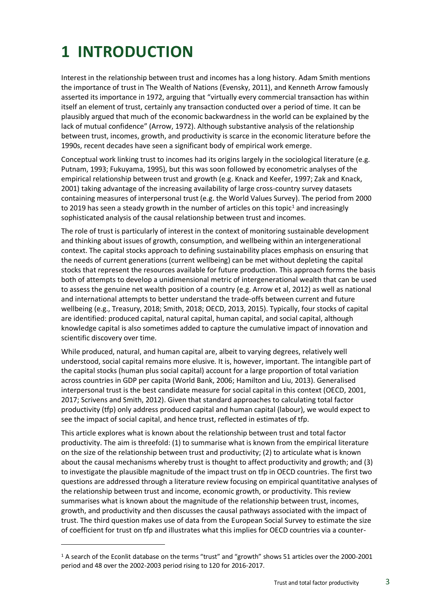## <span id="page-2-0"></span>**1 INTRODUCTION**

Interest in the relationship between trust and incomes has a long history. Adam Smith mentions the importance of trust in The Wealth of Nations (Evensky, 2011), and Kenneth Arrow famously asserted its importance in 1972, arguing that "virtually every commercial transaction has within itself an element of trust, certainly any transaction conducted over a period of time. It can be plausibly argued that much of the economic backwardness in the world can be explained by the lack of mutual confidence" (Arrow, 1972). Although substantive analysis of the relationship between trust, incomes, growth, and productivity is scarce in the economic literature before the 1990s, recent decades have seen a significant body of empirical work emerge.

Conceptual work linking trust to incomes had its origins largely in the sociological literature (e.g. Putnam, 1993; Fukuyama, 1995), but this was soon followed by econometric analyses of the empirical relationship between trust and growth (e.g. Knack and Keefer, 1997; Zak and Knack, 2001) taking advantage of the increasing availability of large cross-country survey datasets containing measures of interpersonal trust (e.g. the World Values Survey). The period from 2000 to 2019 has seen a steady growth in the number of articles on this topic<sup>1</sup> and increasingly sophisticated analysis of the causal relationship between trust and incomes.

The role of trust is particularly of interest in the context of monitoring sustainable development and thinking about issues of growth, consumption, and wellbeing within an intergenerational context. The capital stocks approach to defining sustainability places emphasis on ensuring that the needs of current generations (current wellbeing) can be met without depleting the capital stocks that represent the resources available for future production. This approach forms the basis both of attempts to develop a unidimensional metric of intergenerational wealth that can be used to assess the genuine net wealth position of a country (e.g. Arrow et al, 2012) as well as national and international attempts to better understand the trade-offs between current and future wellbeing (e.g., Treasury, 2018; Smith, 2018; OECD, 2013, 2015). Typically, four stocks of capital are identified: produced capital, natural capital, human capital, and social capital, although knowledge capital is also sometimes added to capture the cumulative impact of innovation and scientific discovery over time.

While produced, natural, and human capital are, albeit to varying degrees, relatively well understood, social capital remains more elusive. It is, however, important. The intangible part of the capital stocks (human plus social capital) account for a large proportion of total variation across countries in GDP per capita (World Bank, 2006; Hamilton and Liu, 2013). Generalised interpersonal trust is the best candidate measure for social capital in this context (OECD, 2001, 2017; Scrivens and Smith, 2012). Given that standard approaches to calculating total factor productivity (tfp) only address produced capital and human capital (labour), we would expect to see the impact of social capital, and hence trust, reflected in estimates of tfp.

This article explores what is known about the relationship between trust and total factor productivity. The aim is threefold: (1) to summarise what is known from the empirical literature on the size of the relationship between trust and productivity; (2) to articulate what is known about the causal mechanisms whereby trust is thought to affect productivity and growth; and (3) to investigate the plausible magnitude of the impact trust on tfp in OECD countries. The first two questions are addressed through a literature review focusing on empirical quantitative analyses of the relationship between trust and income, economic growth, or productivity. This review summarises what is known about the magnitude of the relationship between trust, incomes, growth, and productivity and then discusses the causal pathways associated with the impact of trust. The third question makes use of data from the European Social Survey to estimate the size of coefficient for trust on tfp and illustrates what this implies for OECD countries via a counter-

<sup>&</sup>lt;sup>1</sup> A search of the Econlit database on the terms "trust" and "growth" shows 51 articles over the 2000-2001 period and 48 over the 2002-2003 period rising to 120 for 2016-2017.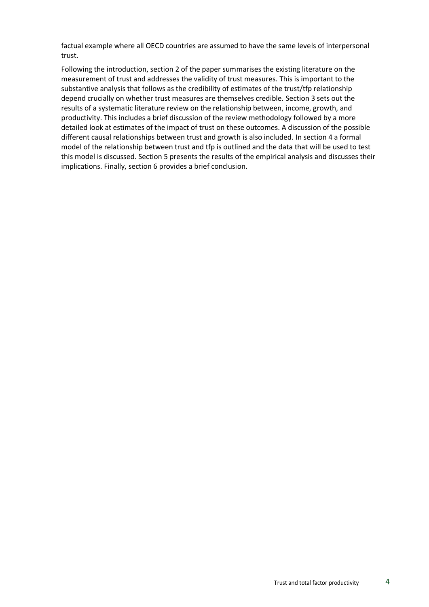factual example where all OECD countries are assumed to have the same levels of interpersonal trust.

Following the introduction, section 2 of the paper summarises the existing literature on the measurement of trust and addresses the validity of trust measures. This is important to the substantive analysis that follows as the credibility of estimates of the trust/tfp relationship depend crucially on whether trust measures are themselves credible. Section 3 sets out the results of a systematic literature review on the relationship between, income, growth, and productivity. This includes a brief discussion of the review methodology followed by a more detailed look at estimates of the impact of trust on these outcomes. A discussion of the possible different causal relationships between trust and growth is also included. In section 4 a formal model of the relationship between trust and tfp is outlined and the data that will be used to test this model is discussed. Section 5 presents the results of the empirical analysis and discusses their implications. Finally, section 6 provides a brief conclusion.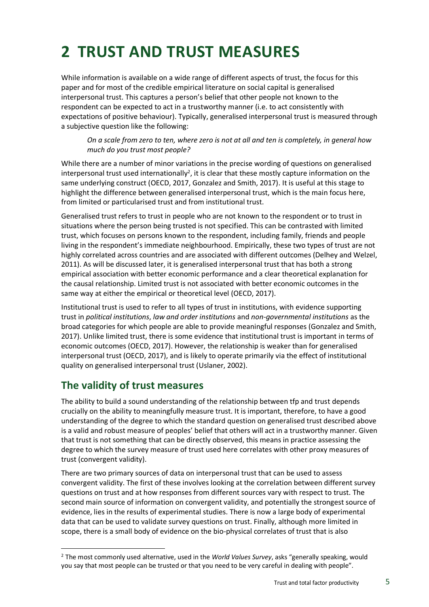## <span id="page-4-0"></span>**2 TRUST AND TRUST MEASURES**

While information is available on a wide range of different aspects of trust, the focus for this paper and for most of the credible empirical literature on social capital is generalised interpersonal trust. This captures a person's belief that other people not known to the respondent can be expected to act in a trustworthy manner (i.e. to act consistently with expectations of positive behaviour). Typically, generalised interpersonal trust is measured through a subjective question like the following:

*On a scale from zero to ten, where zero is not at all and ten is completely, in general how much do you trust most people?*

While there are a number of minor variations in the precise wording of questions on generalised interpersonal trust used internationally<sup>2</sup>, it is clear that these mostly capture information on the same underlying construct (OECD, 2017, Gonzalez and Smith, 2017). It is useful at this stage to highlight the difference between generalised interpersonal trust, which is the main focus here, from limited or particularised trust and from institutional trust.

Generalised trust refers to trust in people who are not known to the respondent or to trust in situations where the person being trusted is not specified. This can be contrasted with limited trust, which focuses on persons known to the respondent, including family, friends and people living in the respondent's immediate neighbourhood. Empirically, these two types of trust are not highly correlated across countries and are associated with different outcomes (Delhey and Welzel, 2011). As will be discussed later, it is generalised interpersonal trust that has both a strong empirical association with better economic performance and a clear theoretical explanation for the causal relationship. Limited trust is not associated with better economic outcomes in the same way at either the empirical or theoretical level (OECD, 2017).

Institutional trust is used to refer to all types of trust in institutions, with evidence supporting trust in *political institutions*, *law and order institutions* and *non-governmental institutions* as the broad categories for which people are able to provide meaningful responses (Gonzalez and Smith, 2017). Unlike limited trust, there is some evidence that institutional trust is important in terms of economic outcomes (OECD, 2017). However, the relationship is weaker than for generalised interpersonal trust (OECD, 2017), and is likely to operate primarily via the effect of institutional quality on generalised interpersonal trust (Uslaner, 2002).

### <span id="page-4-1"></span>**The validity of trust measures**

The ability to build a sound understanding of the relationship between tfp and trust depends crucially on the ability to meaningfully measure trust. It is important, therefore, to have a good understanding of the degree to which the standard question on generalised trust described above is a valid and robust measure of peoples' belief that others will act in a trustworthy manner. Given that trust is not something that can be directly observed, this means in practice assessing the degree to which the survey measure of trust used here correlates with other proxy measures of trust (convergent validity).

There are two primary sources of data on interpersonal trust that can be used to assess convergent validity. The first of these involves looking at the correlation between different survey questions on trust and at how responses from different sources vary with respect to trust. The second main source of information on convergent validity, and potentially the strongest source of evidence, lies in the results of experimental studies. There is now a large body of experimental data that can be used to validate survey questions on trust. Finally, although more limited in scope, there is a small body of evidence on the bio-physical correlates of trust that is also

<sup>2</sup> The most commonly used alternative, used in the *World Values Survey*, asks "generally speaking, would you say that most people can be trusted or that you need to be very careful in dealing with people".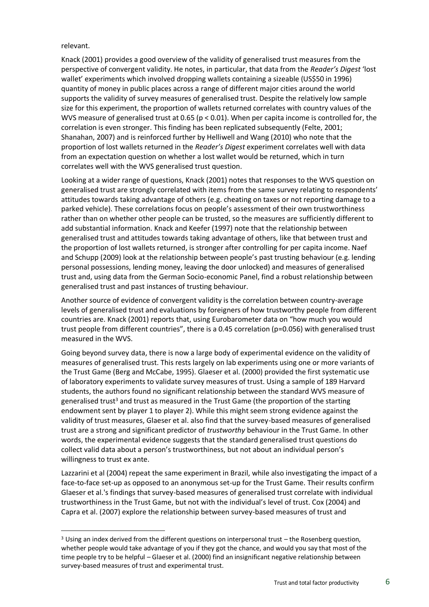#### relevant.

Knack (2001) provides a good overview of the validity of generalised trust measures from the perspective of convergent validity. He notes, in particular, that data from the *Reader's Digest* 'lost wallet' experiments which involved dropping wallets containing a sizeable (US\$50 in 1996) quantity of money in public places across a range of different major cities around the world supports the validity of survey measures of generalised trust. Despite the relatively low sample size for this experiment, the proportion of wallets returned correlates with country values of the WVS measure of generalised trust at 0.65 ( $p < 0.01$ ). When per capita income is controlled for, the correlation is even stronger. This finding has been replicated subsequently (Felte, 2001; Shanahan, 2007) and is reinforced further by Helliwell and Wang (2010) who note that the proportion of lost wallets returned in the *Reader's Digest* experiment correlates well with data from an expectation question on whether a lost wallet would be returned, which in turn correlates well with the WVS generalised trust question.

Looking at a wider range of questions, Knack (2001) notes that responses to the WVS question on generalised trust are strongly correlated with items from the same survey relating to respondents' attitudes towards taking advantage of others (e.g. cheating on taxes or not reporting damage to a parked vehicle). These correlations focus on people's assessment of their own trustworthiness rather than on whether other people can be trusted, so the measures are sufficiently different to add substantial information. Knack and Keefer (1997) note that the relationship between generalised trust and attitudes towards taking advantage of others, like that between trust and the proportion of lost wallets returned, is stronger after controlling for per capita income. Naef and Schupp (2009) look at the relationship between people's past trusting behaviour (e.g. lending personal possessions, lending money, leaving the door unlocked) and measures of generalised trust and, using data from the German Socio-economic Panel, find a robust relationship between generalised trust and past instances of trusting behaviour.

Another source of evidence of convergent validity is the correlation between country-average levels of generalised trust and evaluations by foreigners of how trustworthy people from different countries are. Knack (2001) reports that, using Eurobarometer data on "how much you would trust people from different countries", there is a 0.45 correlation (p=0.056) with generalised trust measured in the WVS.

Going beyond survey data, there is now a large body of experimental evidence on the validity of measures of generalised trust. This rests largely on lab experiments using one or more variants of the Trust Game (Berg and McCabe, 1995). Glaeser et al. (2000) provided the first systematic use of laboratory experiments to validate survey measures of trust. Using a sample of 189 Harvard students, the authors found no significant relationship between the standard WVS measure of generalised trust<sup>3</sup> and trust as measured in the Trust Game (the proportion of the starting endowment sent by player 1 to player 2). While this might seem strong evidence against the validity of trust measures, Glaeser et al. also find that the survey-based measures of generalised trust are a strong and significant predictor of *trustworthy* behaviour in the Trust Game. In other words, the experimental evidence suggests that the standard generalised trust questions do collect valid data about a person's trustworthiness, but not about an individual person's willingness to trust ex ante.

Lazzarini et al (2004) repeat the same experiment in Brazil, while also investigating the impact of a face-to-face set-up as opposed to an anonymous set-up for the Trust Game. Their results confirm Glaeser et al.'s findings that survey-based measures of generalised trust correlate with individual trustworthiness in the Trust Game, but not with the individual's level of trust. Cox (2004) and Capra et al. (2007) explore the relationship between survey-based measures of trust and

 $3$  Using an index derived from the different questions on interpersonal trust – the Rosenberg question, whether people would take advantage of you if they got the chance, and would you say that most of the time people try to be helpful – Glaeser et al. (2000) find an insignificant negative relationship between survey-based measures of trust and experimental trust.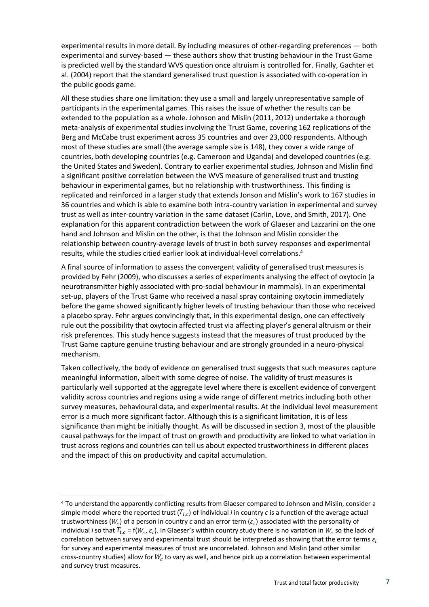experimental results in more detail. By including measures of other-regarding preferences — both experimental and survey-based — these authors show that trusting behaviour in the Trust Game is predicted well by the standard WVS question once altruism is controlled for. Finally, Gachter et al. (2004) report that the standard generalised trust question is associated with co-operation in the public goods game.

All these studies share one limitation: they use a small and largely unrepresentative sample of participants in the experimental games. This raises the issue of whether the results can be extended to the population as a whole. Johnson and Mislin (2011, 2012) undertake a thorough meta-analysis of experimental studies involving the Trust Game, covering 162 replications of the Berg and McCabe trust experiment across 35 countries and over 23,000 respondents. Although most of these studies are small (the average sample size is 148), they cover a wide range of countries, both developing countries (e.g. Cameroon and Uganda) and developed countries (e.g. the United States and Sweden). Contrary to earlier experimental studies, Johnson and Mislin find a significant positive correlation between the WVS measure of generalised trust and trusting behaviour in experimental games, but no relationship with trustworthiness. This finding is replicated and reinforced in a larger study that extends Jonson and Mislin's work to 167 studies in 36 countries and which is able to examine both intra-country variation in experimental and survey trust as well as inter-country variation in the same dataset (Carlin, Love, and Smith, 2017). One explanation for this apparent contradiction between the work of Glaeser and Lazzarini on the one hand and Johnson and Mislin on the other, is that the Johnson and Mislin consider the relationship between country-average levels of trust in both survey responses and experimental results, while the studies citied earlier look at individual-level correlations.<sup>4</sup>

A final source of information to assess the convergent validity of generalised trust measures is provided by Fehr (2009), who discusses a series of experiments analysing the effect of oxytocin (a neurotransmitter highly associated with pro-social behaviour in mammals). In an experimental set-up, players of the Trust Game who received a nasal spray containing oxytocin immediately before the game showed significantly higher levels of trusting behaviour than those who received a placebo spray. Fehr argues convincingly that, in this experimental design, one can effectively rule out the possibility that oxytocin affected trust via affecting player's general altruism or their risk preferences. This study hence suggests instead that the measures of trust produced by the Trust Game capture genuine trusting behaviour and are strongly grounded in a neuro-physical mechanism.

Taken collectively, the body of evidence on generalised trust suggests that such measures capture meaningful information, albeit with some degree of noise. The validity of trust measures is particularly well supported at the aggregate level where there is excellent evidence of convergent validity across countries and regions using a wide range of different metrics including both other survey measures, behavioural data, and experimental results. At the individual level measurement error is a much more significant factor. Although this is a significant limitation, it is of less significance than might be initially thought. As will be discussed in section 3, most of the plausible causal pathways for the impact of trust on growth and productivity are linked to what variation in trust across regions and countries can tell us about expected trustworthiness in different places and the impact of this on productivity and capital accumulation.

<sup>4</sup> To understand the apparently conflicting results from Glaeser compared to Johnson and Mislin, consider a simple model where the reported trust  $(T_{i,c})$  of individual *i* in country *c* is a function of the average actual trustworthiness ( $W_c$ ) of a person in country  $c$  and an error term ( $\varepsilon_i$ ) associated with the personality of individual *i* so that  $T_{i,c}$  = f( $W_c$ ,  $\varepsilon_i$ ). In Glaeser's within country study there is no variation in  $W_c$  so the lack of correlation between survey and experimental trust should be interpreted as showing that the error terms  $\varepsilon_i$ for survey and experimental measures of trust are uncorrelated. Johnson and Mislin (and other similar cross-country studies) allow for  $W_c$  to vary as well, and hence pick up a correlation between experimental and survey trust measures.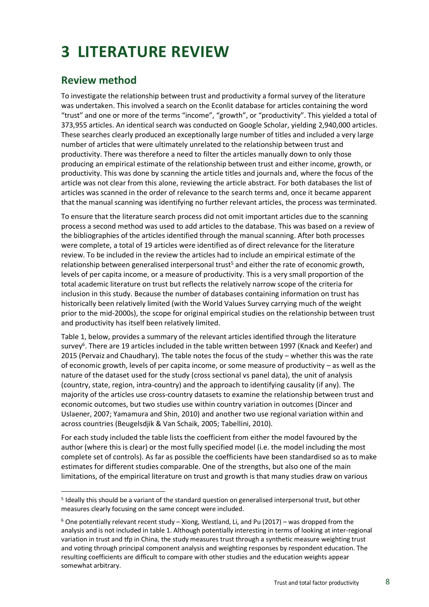## <span id="page-7-0"></span>**3 LITERATURE REVIEW**

### <span id="page-7-1"></span>**Review method**

To investigate the relationship between trust and productivity a formal survey of the literature was undertaken. This involved a search on the Econlit database for articles containing the word "trust" and one or more of the terms "income", "growth", or "productivity". This yielded a total of 373,955 articles. An identical search was conducted on Google Scholar, yielding 2,940,000 articles. These searches clearly produced an exceptionally large number of titles and included a very large number of articles that were ultimately unrelated to the relationship between trust and productivity. There was therefore a need to filter the articles manually down to only those producing an empirical estimate of the relationship between trust and either income, growth, or productivity. This was done by scanning the article titles and journals and, where the focus of the article was not clear from this alone, reviewing the article abstract. For both databases the list of articles was scanned in the order of relevance to the search terms and, once it became apparent that the manual scanning was identifying no further relevant articles, the process was terminated.

To ensure that the literature search process did not omit important articles due to the scanning process a second method was used to add articles to the database. This was based on a review of the bibliographies of the articles identified through the manual scanning. After both processes were complete, a total of 19 articles were identified as of direct relevance for the literature review. To be included in the review the articles had to include an empirical estimate of the relationship between generalised interpersonal trust<sup>5</sup> and either the rate of economic growth, levels of per capita income, or a measure of productivity. This is a very small proportion of the total academic literature on trust but reflects the relatively narrow scope of the criteria for inclusion in this study. Because the number of databases containing information on trust has historically been relatively limited (with the World Values Survey carrying much of the weight prior to the mid-2000s), the scope for original empirical studies on the relationship between trust and productivity has itself been relatively limited.

Table 1, below, provides a summary of the relevant articles identified through the literature survey<sup>6</sup>. There are 19 articles included in the table written between 1997 (Knack and Keefer) and 2015 (Pervaiz and Chaudhary). The table notes the focus of the study – whether this was the rate of economic growth, levels of per capita income, or some measure of productivity – as well as the nature of the dataset used for the study (cross sectional vs panel data), the unit of analysis (country, state, region, intra-country) and the approach to identifying causality (if any). The majority of the articles use cross-country datasets to examine the relationship between trust and economic outcomes, but two studies use within country variation in outcomes (Dincer and Uslaener, 2007; Yamamura and Shin, 2010) and another two use regional variation within and across countries (Beugelsdjik & Van Schaik, 2005; Tabellini, 2010).

For each study included the table lists the coefficient from either the model favoured by the author (where this is clear) or the most fully specified model (i.e. the model including the most complete set of controls). As far as possible the coefficients have been standardised so as to make estimates for different studies comparable. One of the strengths, but also one of the main limitations, of the empirical literature on trust and growth is that many studies draw on various

<sup>&</sup>lt;sup>5</sup> Ideally this should be a variant of the standard question on generalised interpersonal trust, but other measures clearly focusing on the same concept were included.

 $6$  One potentially relevant recent study – Xiong, Westland, Li, and Pu (2017) – was dropped from the analysis and is not included in table 1. Although potentially interesting in terms of looking at inter-regional variation in trust and tfp in China, the study measures trust through a synthetic measure weighting trust and voting through principal component analysis and weighting responses by respondent education. The resulting coefficients are difficult to compare with other studies and the education weights appear somewhat arbitrary.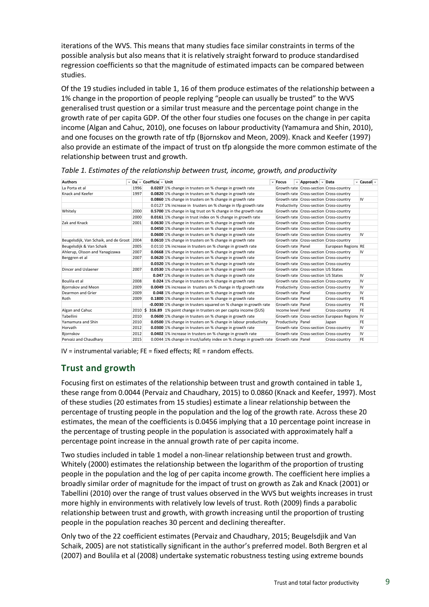iterations of the WVS. This means that many studies face similar constraints in terms of the possible analysis but also means that it is relatively straight forward to produce standardised regression coefficients so that the magnitude of estimated impacts can be compared between studies.

Of the 19 studies included in table 1, 16 of them produce estimates of the relationship between a 1% change in the proportion of people replying "people can usually be trusted" to the WVS generalised trust question or a similar trust measure and the percentage point change in the growth rate of per capita GDP. Of the other four studies one focuses on the change in per capita income (Algan and Cahuc, 2010), one focuses on labour productivity (Yamamura and Shin, 2010), and one focuses on the growth rate of tfp (Bjornskov and Meon, 2009). Knack and Keefer (1997) also provide an estimate of the impact of trust on tfp alongside the more common estimate of the relationship between trust and growth.

| <b>Authors</b>                             |                                                                                                                            | ▼ Da ▼ Coefficie ▼ Unit |                                                                                                                                                                                                                                                                                                                                                                                                                                                                                                                                                                                                                                                                                                                                                                                      | <sup>₩</sup> Focus | ▼ Approach   ▼ Data                 |                                               |           |  |
|--------------------------------------------|----------------------------------------------------------------------------------------------------------------------------|-------------------------|--------------------------------------------------------------------------------------------------------------------------------------------------------------------------------------------------------------------------------------------------------------------------------------------------------------------------------------------------------------------------------------------------------------------------------------------------------------------------------------------------------------------------------------------------------------------------------------------------------------------------------------------------------------------------------------------------------------------------------------------------------------------------------------|--------------------|-------------------------------------|-----------------------------------------------|-----------|--|
| La Porta et al                             | 1996                                                                                                                       |                         |                                                                                                                                                                                                                                                                                                                                                                                                                                                                                                                                                                                                                                                                                                                                                                                      |                    |                                     | Growth rate Cross-section Cross-country       | ▼ Causali |  |
| Knack and Keefer                           | 0.0207 1% change in trusters on % change in growth rate<br>1997<br>0.0820 1% change in trusters on % change in growth rate |                         |                                                                                                                                                                                                                                                                                                                                                                                                                                                                                                                                                                                                                                                                                                                                                                                      |                    |                                     | Growth rate Cross-section Cross-country       |           |  |
|                                            |                                                                                                                            |                         | 0.0860 1% change in trusters on % change in growth rate                                                                                                                                                                                                                                                                                                                                                                                                                                                                                                                                                                                                                                                                                                                              |                    |                                     | Growth rate Cross-section Cross-country       | IV        |  |
|                                            | 0.0127 1% increase in trusters on % change in tfp growth rate                                                              |                         |                                                                                                                                                                                                                                                                                                                                                                                                                                                                                                                                                                                                                                                                                                                                                                                      |                    |                                     | Productivity Cross-section Cross-country      |           |  |
| Whitely                                    | 2000                                                                                                                       |                         | 0.5700 1% change in log trust on % change in the growth rate                                                                                                                                                                                                                                                                                                                                                                                                                                                                                                                                                                                                                                                                                                                         |                    |                                     | Growth rate Cross-section Cross-country       |           |  |
|                                            | 2000                                                                                                                       |                         | 0.0161 1% change in trust index on % change in growth rate                                                                                                                                                                                                                                                                                                                                                                                                                                                                                                                                                                                                                                                                                                                           |                    |                                     | Growth rate Cross-section Cross-country       |           |  |
| Zak and Knack                              | 2001                                                                                                                       |                         | 0.0630 1% change in trusters on % change in growth rate                                                                                                                                                                                                                                                                                                                                                                                                                                                                                                                                                                                                                                                                                                                              |                    |                                     | Growth rate Cross-section Cross-country       |           |  |
|                                            |                                                                                                                            |                         | 0.0450 1% change in trusters on % change in growth rate                                                                                                                                                                                                                                                                                                                                                                                                                                                                                                                                                                                                                                                                                                                              |                    |                                     | Growth rate Cross-section Cross-country       |           |  |
|                                            |                                                                                                                            |                         | 0.0600 1% change in trusters on % change in growth rate                                                                                                                                                                                                                                                                                                                                                                                                                                                                                                                                                                                                                                                                                                                              |                    |                                     | Growth rate Cross-section Cross-country       | IV        |  |
| Beugelsdijk, Van Schaik, and de Groot 2004 |                                                                                                                            |                         | 0.0610 1% change in trusters on % change in growth rate                                                                                                                                                                                                                                                                                                                                                                                                                                                                                                                                                                                                                                                                                                                              |                    |                                     | Growth rate Cross-section Cross-country       |           |  |
| Beugelsdijk & Van Schaik                   | 2005                                                                                                                       |                         | 0.0110 1% increase in trusters on % change in growth rate                                                                                                                                                                                                                                                                                                                                                                                                                                                                                                                                                                                                                                                                                                                            | Growth rate Panel  |                                     | European Regions RE                           |           |  |
| Ahlerup, Olsson and Yanagizawa             | 2007                                                                                                                       |                         | 0.0668 1% change in trusters on % change in growth rate                                                                                                                                                                                                                                                                                                                                                                                                                                                                                                                                                                                                                                                                                                                              |                    |                                     | Growth rate Cross-section Cross-country       | IV        |  |
| Berggren et al                             | 2007                                                                                                                       |                         | 0.0620 1% change in trusters on % change in growth rate                                                                                                                                                                                                                                                                                                                                                                                                                                                                                                                                                                                                                                                                                                                              |                    |                                     | Growth rate Cross-section Cross-country       |           |  |
|                                            |                                                                                                                            |                         | 0.0320 1% change in trusters on % change in growth rate                                                                                                                                                                                                                                                                                                                                                                                                                                                                                                                                                                                                                                                                                                                              |                    |                                     | Growth rate Cross-section Cross-country       |           |  |
| Dincer and Uslaener                        | 2007                                                                                                                       |                         | 0.0530 1% change in trusters on % change in growth rate                                                                                                                                                                                                                                                                                                                                                                                                                                                                                                                                                                                                                                                                                                                              |                    | Growth rate Cross-section US States |                                               |           |  |
|                                            |                                                                                                                            |                         | 0.047 1% change in trusters on % change in growth rate                                                                                                                                                                                                                                                                                                                                                                                                                                                                                                                                                                                                                                                                                                                               |                    | Growth rate Cross-section US States |                                               | IV        |  |
| Boulila et al                              | 2008                                                                                                                       |                         | 0.024 1% change in trusters on % change in growth rate                                                                                                                                                                                                                                                                                                                                                                                                                                                                                                                                                                                                                                                                                                                               |                    |                                     | Growth rate Cross-section Cross-country       | IV        |  |
| Bjornskov and Meon                         | 2009                                                                                                                       |                         | 0.0049 1% increase in trusters on % change in tfp growth rate                                                                                                                                                                                                                                                                                                                                                                                                                                                                                                                                                                                                                                                                                                                        |                    |                                     | Productivity Cross-section Cross-country      | IV        |  |
| Dearmon and Grier                          | 2009                                                                                                                       |                         | 0.048 1% change in trusters on % change in growth rate                                                                                                                                                                                                                                                                                                                                                                                                                                                                                                                                                                                                                                                                                                                               | Growth rate Panel  |                                     | Cross-country                                 | IV        |  |
| Roth                                       | 2009                                                                                                                       |                         | <b>0.1800</b> 1% change in trusters on % change in growth rate                                                                                                                                                                                                                                                                                                                                                                                                                                                                                                                                                                                                                                                                                                                       | Growth rate Panel  |                                     | Cross-country                                 | FE        |  |
|                                            |                                                                                                                            |                         | -0.0030 1% change in trusters squared on % change in growth rate                                                                                                                                                                                                                                                                                                                                                                                                                                                                                                                                                                                                                                                                                                                     | Growth rate Panel  |                                     | Cross-country                                 | FE        |  |
| Algan and Cahuc                            |                                                                                                                            |                         | 2010 \$ 316.89 1% point change in trusters on per capita income (\$US)                                                                                                                                                                                                                                                                                                                                                                                                                                                                                                                                                                                                                                                                                                               | Income level Panel |                                     | Cross-country                                 | FE        |  |
| Tabellini                                  | 2010                                                                                                                       |                         | 0.0600 1% change in trusters on % change in growth rate                                                                                                                                                                                                                                                                                                                                                                                                                                                                                                                                                                                                                                                                                                                              |                    |                                     | Growth rate Cross-section European Regions IV |           |  |
| Yamamura and Shin                          | 2010                                                                                                                       |                         | 0.0500 1% change in trusters on % change in labour productivity                                                                                                                                                                                                                                                                                                                                                                                                                                                                                                                                                                                                                                                                                                                      | Productivity Panel |                                     | Japan                                         | FE        |  |
| Horvath                                    | 2012                                                                                                                       |                         | 0.0300 1% change in trusters on % change in growth rate                                                                                                                                                                                                                                                                                                                                                                                                                                                                                                                                                                                                                                                                                                                              |                    |                                     | Growth rate Cross-section Cross-country       | IV        |  |
| Bjornskov                                  | 2012                                                                                                                       |                         | 0.0402 1% increase in trusters on % change in growth rate                                                                                                                                                                                                                                                                                                                                                                                                                                                                                                                                                                                                                                                                                                                            |                    |                                     | Growth rate Cross-section Cross-country       | IV        |  |
| Pervaiz and Chaudhary                      | 2015                                                                                                                       |                         | 0.0044 1% change in trust/safety index on % change in growth rate Growth rate Panel                                                                                                                                                                                                                                                                                                                                                                                                                                                                                                                                                                                                                                                                                                  |                    |                                     | Cross-country                                 | FE        |  |
|                                            |                                                                                                                            |                         | these range from 0.0044 (Pervaiz and Chaudhary, 2015) to 0.0860 (Knack and Keefer, 1997). Most<br>of these studies (20 estimates from 15 studies) estimate a linear relationship between the<br>percentage of trusting people in the population and the log of the growth rate. Across these 20<br>estimates, the mean of the coefficients is 0.0456 implying that a 10 percentage point increase in<br>the percentage of trusting people in the population is associated with approximately half a                                                                                                                                                                                                                                                                                  |                    |                                     |                                               |           |  |
|                                            |                                                                                                                            |                         | percentage point increase in the annual growth rate of per capita income.                                                                                                                                                                                                                                                                                                                                                                                                                                                                                                                                                                                                                                                                                                            |                    |                                     |                                               |           |  |
|                                            |                                                                                                                            |                         | Two studies included in table 1 model a non-linear relationship between trust and growth.<br>Whitely (2000) estimates the relationship between the logarithm of the proportion of trusting<br>people in the population and the log of per capita income growth. The coefficient here implies a<br>broadly similar order of magnitude for the impact of trust on growth as Zak and Knack (2001) or<br>Tabellini (2010) over the range of trust values observed in the WVS but weights increases in trust<br>more highly in environments with relatively low levels of trust. Roth (2009) finds a parabolic<br>relationship between trust and growth, with growth increasing until the proportion of trusting<br>people in the population reaches 30 percent and declining thereafter. |                    |                                     |                                               |           |  |
|                                            |                                                                                                                            |                         | Only two of the 22 coefficient estimates (Pervaiz and Chaudhary, 2015; Beugelsdjik and Van<br>Schaik, 2005) are not statistically significant in the author's preferred model. Both Bergren et al<br>(2007) and Boulila et al (2008) undertake systematic robustness testing using extreme bounds                                                                                                                                                                                                                                                                                                                                                                                                                                                                                    |                    |                                     |                                               |           |  |

<span id="page-8-0"></span>*Table 1. Estimates of the relationship between trust, income, growth, and productivity*

#### <span id="page-8-1"></span>**Trust and growth**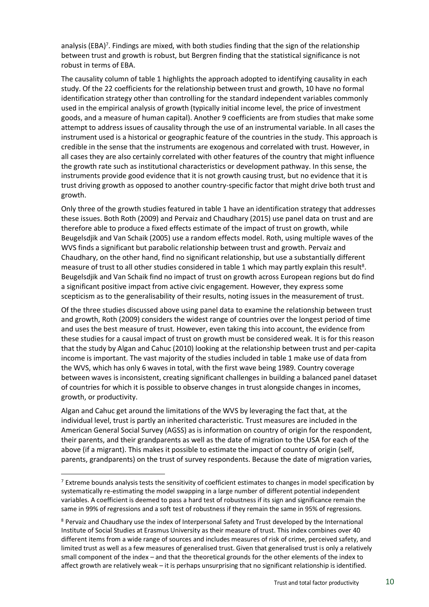analysis (EBA)<sup>7</sup>. Findings are mixed, with both studies finding that the sign of the relationship between trust and growth is robust, but Bergren finding that the statistical significance is not robust in terms of EBA.

The causality column of table 1 highlights the approach adopted to identifying causality in each study. Of the 22 coefficients for the relationship between trust and growth, 10 have no formal identification strategy other than controlling for the standard independent variables commonly used in the empirical analysis of growth (typically initial income level, the price of investment goods, and a measure of human capital). Another 9 coefficients are from studies that make some attempt to address issues of causality through the use of an instrumental variable. In all cases the instrument used is a historical or geographic feature of the countries in the study. This approach is credible in the sense that the instruments are exogenous and correlated with trust. However, in all cases they are also certainly correlated with other features of the country that might influence the growth rate such as institutional characteristics or development pathway. In this sense, the instruments provide good evidence that it is not growth causing trust, but no evidence that it is trust driving growth as opposed to another country-specific factor that might drive both trust and growth.

Only three of the growth studies featured in table 1 have an identification strategy that addresses these issues. Both Roth (2009) and Pervaiz and Chaudhary (2015) use panel data on trust and are therefore able to produce a fixed effects estimate of the impact of trust on growth, while Beugelsdjik and Van Schaik (2005) use a random effects model. Roth, using multiple waves of the WVS finds a significant but parabolic relationship between trust and growth. Pervaiz and Chaudhary, on the other hand, find no significant relationship, but use a substantially different measure of trust to all other studies considered in table 1 which may partly explain this result<sup>8</sup>. Beugelsdjik and Van Schaik find no impact of trust on growth across European regions but do find a significant positive impact from active civic engagement. However, they express some scepticism as to the generalisability of their results, noting issues in the measurement of trust.

Of the three studies discussed above using panel data to examine the relationship between trust and growth, Roth (2009) considers the widest range of countries over the longest period of time and uses the best measure of trust. However, even taking this into account, the evidence from these studies for a causal impact of trust on growth must be considered weak. It is for this reason that the study by Algan and Cahuc (2010) looking at the relationship between trust and per-capita income is important. The vast majority of the studies included in table 1 make use of data from the WVS, which has only 6 waves in total, with the first wave being 1989. Country coverage between waves is inconsistent, creating significant challenges in building a balanced panel dataset of countries for which it is possible to observe changes in trust alongside changes in incomes, growth, or productivity.

Algan and Cahuc get around the limitations of the WVS by leveraging the fact that, at the individual level, trust is partly an inherited characteristic. Trust measures are included in the American General Social Survey (AGSS) as is information on country of origin for the respondent, their parents, and their grandparents as well as the date of migration to the USA for each of the above (if a migrant). This makes it possible to estimate the impact of country of origin (self, parents, grandparents) on the trust of survey respondents. Because the date of migration varies,

<sup>&</sup>lt;sup>7</sup> Extreme bounds analysis tests the sensitivity of coefficient estimates to changes in model specification by systematically re-estimating the model swapping in a large number of different potential independent variables. A coefficient is deemed to pass a hard test of robustness if its sign and significance remain the same in 99% of regressions and a soft test of robustness if they remain the same in 95% of regressions.

<sup>8</sup> Pervaiz and Chaudhary use the index of Interpersonal Safety and Trust developed by the International Institute of Social Studies at Erasmus University as their measure of trust. This index combines over 40 different items from a wide range of sources and includes measures of risk of crime, perceived safety, and limited trust as well as a few measures of generalised trust. Given that generalised trust is only a relatively small component of the index – and that the theoretical grounds for the other elements of the index to affect growth are relatively weak – it is perhaps unsurprising that no significant relationship is identified.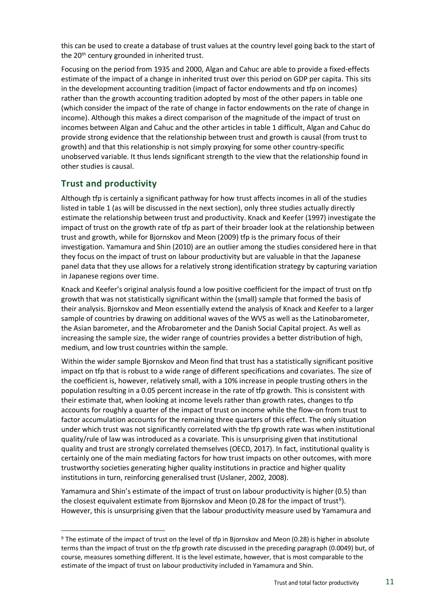this can be used to create a database of trust values at the country level going back to the start of the 20<sup>th</sup> century grounded in inherited trust.

Focusing on the period from 1935 and 2000, Algan and Cahuc are able to provide a fixed-effects estimate of the impact of a change in inherited trust over this period on GDP per capita. This sits in the development accounting tradition (impact of factor endowments and tfp on incomes) rather than the growth accounting tradition adopted by most of the other papers in table one (which consider the impact of the rate of change in factor endowments on the rate of change in income). Although this makes a direct comparison of the magnitude of the impact of trust on incomes between Algan and Cahuc and the other articles in table 1 difficult, Algan and Cahuc do provide strong evidence that the relationship between trust and growth is causal (from trust to growth) and that this relationship is not simply proxying for some other country-specific unobserved variable. It thus lends significant strength to the view that the relationship found in other studies is causal.

#### <span id="page-10-0"></span>**Trust and productivity**

Although tfp is certainly a significant pathway for how trust affects incomes in all of the studies listed in table 1 (as will be discussed in the next section), only three studies actually directly estimate the relationship between trust and productivity. Knack and Keefer (1997) investigate the impact of trust on the growth rate of tfp as part of their broader look at the relationship between trust and growth, while for Bjornskov and Meon (2009) tfp is the primary focus of their investigation. Yamamura and Shin (2010) are an outlier among the studies considered here in that they focus on the impact of trust on labour productivity but are valuable in that the Japanese panel data that they use allows for a relatively strong identification strategy by capturing variation in Japanese regions over time.

Knack and Keefer's original analysis found a low positive coefficient for the impact of trust on tfp growth that was not statistically significant within the (small) sample that formed the basis of their analysis. Bjornskov and Meon essentially extend the analysis of Knack and Keefer to a larger sample of countries by drawing on additional waves of the WVS as well as the Latinobarometer, the Asian barometer, and the Afrobarometer and the Danish Social Capital project. As well as increasing the sample size, the wider range of countries provides a better distribution of high, medium, and low trust countries within the sample.

Within the wider sample Bjornskov and Meon find that trust has a statistically significant positive impact on tfp that is robust to a wide range of different specifications and covariates. The size of the coefficient is, however, relatively small, with a 10% increase in people trusting others in the population resulting in a 0.05 percent increase in the rate of tfp growth. This is consistent with their estimate that, when looking at income levels rather than growth rates, changes to tfp accounts for roughly a quarter of the impact of trust on income while the flow-on from trust to factor accumulation accounts for the remaining three quarters of this effect. The only situation under which trust was not significantly correlated with the tfp growth rate was when institutional quality/rule of law was introduced as a covariate. This is unsurprising given that institutional quality and trust are strongly correlated themselves (OECD, 2017). In fact, institutional quality is certainly one of the main mediating factors for how trust impacts on other outcomes, with more trustworthy societies generating higher quality institutions in practice and higher quality institutions in turn, reinforcing generalised trust (Uslaner, 2002, 2008).

Yamamura and Shin's estimate of the impact of trust on labour productivity is higher (0.5) than the closest equivalent estimate from Bjornskov and Meon (0.28 for the impact of trust<sup>9</sup>). However, this is unsurprising given that the labour productivity measure used by Yamamura and

<sup>9</sup> The estimate of the impact of trust on the level of tfp in Bjornskov and Meon (0.28) is higher in absolute terms than the impact of trust on the tfp growth rate discussed in the preceding paragraph (0.0049) but, of course, measures something different. It is the level estimate, however, that is most comparable to the estimate of the impact of trust on labour productivity included in Yamamura and Shin.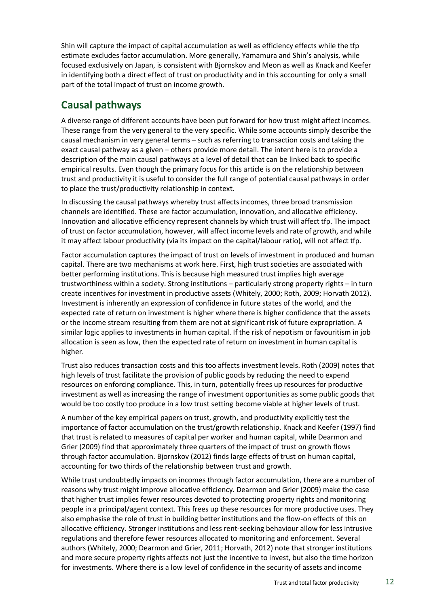Shin will capture the impact of capital accumulation as well as efficiency effects while the tfp estimate excludes factor accumulation. More generally, Yamamura and Shin's analysis, while focused exclusively on Japan, is consistent with Bjornskov and Meon as well as Knack and Keefer in identifying both a direct effect of trust on productivity and in this accounting for only a small part of the total impact of trust on income growth.

### <span id="page-11-0"></span>**Causal pathways**

A diverse range of different accounts have been put forward for how trust might affect incomes. These range from the very general to the very specific. While some accounts simply describe the causal mechanism in very general terms – such as referring to transaction costs and taking the exact causal pathway as a given – others provide more detail. The intent here is to provide a description of the main causal pathways at a level of detail that can be linked back to specific empirical results. Even though the primary focus for this article is on the relationship between trust and productivity it is useful to consider the full range of potential causal pathways in order to place the trust/productivity relationship in context.

In discussing the causal pathways whereby trust affects incomes, three broad transmission channels are identified. These are factor accumulation, innovation, and allocative efficiency. Innovation and allocative efficiency represent channels by which trust will affect tfp. The impact of trust on factor accumulation, however, will affect income levels and rate of growth, and while it may affect labour productivity (via its impact on the capital/labour ratio), will not affect tfp.

Factor accumulation captures the impact of trust on levels of investment in produced and human capital. There are two mechanisms at work here. First, high trust societies are associated with better performing institutions. This is because high measured trust implies high average trustworthiness within a society. Strong institutions – particularly strong property rights – in turn create incentives for investment in productive assets (Whitely, 2000; Roth, 2009; Horvath 2012). Investment is inherently an expression of confidence in future states of the world, and the expected rate of return on investment is higher where there is higher confidence that the assets or the income stream resulting from them are not at significant risk of future expropriation. A similar logic applies to investments in human capital. If the risk of nepotism or favouritism in job allocation is seen as low, then the expected rate of return on investment in human capital is higher.

Trust also reduces transaction costs and this too affects investment levels. Roth (2009) notes that high levels of trust facilitate the provision of public goods by reducing the need to expend resources on enforcing compliance. This, in turn, potentially frees up resources for productive investment as well as increasing the range of investment opportunities as some public goods that would be too costly too produce in a low trust setting become viable at higher levels of trust.

A number of the key empirical papers on trust, growth, and productivity explicitly test the importance of factor accumulation on the trust/growth relationship. Knack and Keefer (1997) find that trust is related to measures of capital per worker and human capital, while Dearmon and Grier (2009) find that approximately three quarters of the impact of trust on growth flows through factor accumulation. Bjornskov (2012) finds large effects of trust on human capital, accounting for two thirds of the relationship between trust and growth.

While trust undoubtedly impacts on incomes through factor accumulation, there are a number of reasons why trust might improve allocative efficiency. Dearmon and Grier (2009) make the case that higher trust implies fewer resources devoted to protecting property rights and monitoring people in a principal/agent context. This frees up these resources for more productive uses. They also emphasise the role of trust in building better institutions and the flow-on effects of this on allocative efficiency. Stronger institutions and less rent-seeking behaviour allow for less intrusive regulations and therefore fewer resources allocated to monitoring and enforcement. Several authors (Whitely, 2000; Dearmon and Grier, 2011; Horvath, 2012) note that stronger institutions and more secure property rights affects not just the incentive to invest, but also the time horizon for investments. Where there is a low level of confidence in the security of assets and income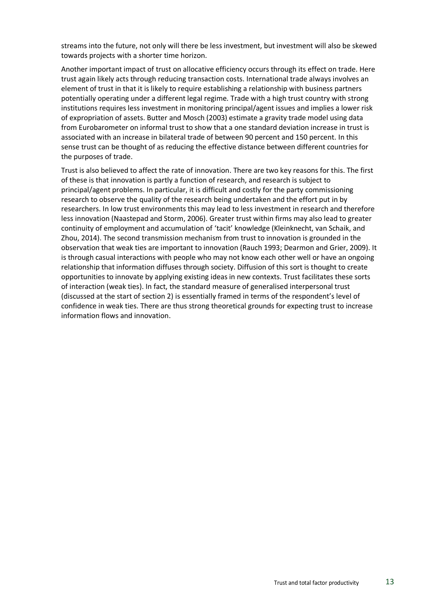streams into the future, not only will there be less investment, but investment will also be skewed towards projects with a shorter time horizon.

Another important impact of trust on allocative efficiency occurs through its effect on trade. Here trust again likely acts through reducing transaction costs. International trade always involves an element of trust in that it is likely to require establishing a relationship with business partners potentially operating under a different legal regime. Trade with a high trust country with strong institutions requires less investment in monitoring principal/agent issues and implies a lower risk of expropriation of assets. Butter and Mosch (2003) estimate a gravity trade model using data from Eurobarometer on informal trust to show that a one standard deviation increase in trust is associated with an increase in bilateral trade of between 90 percent and 150 percent. In this sense trust can be thought of as reducing the effective distance between different countries for the purposes of trade.

Trust is also believed to affect the rate of innovation. There are two key reasons for this. The first of these is that innovation is partly a function of research, and research is subject to principal/agent problems. In particular, it is difficult and costly for the party commissioning research to observe the quality of the research being undertaken and the effort put in by researchers. In low trust environments this may lead to less investment in research and therefore less innovation (Naastepad and Storm, 2006). Greater trust within firms may also lead to greater continuity of employment and accumulation of 'tacit' knowledge (Kleinknecht, van Schaik, and Zhou, 2014). The second transmission mechanism from trust to innovation is grounded in the observation that weak ties are important to innovation (Rauch 1993; Dearmon and Grier, 2009). It is through casual interactions with people who may not know each other well or have an ongoing relationship that information diffuses through society. Diffusion of this sort is thought to create opportunities to innovate by applying existing ideas in new contexts. Trust facilitates these sorts of interaction (weak ties). In fact, the standard measure of generalised interpersonal trust (discussed at the start of section 2) is essentially framed in terms of the respondent's level of confidence in weak ties. There are thus strong theoretical grounds for expecting trust to increase information flows and innovation.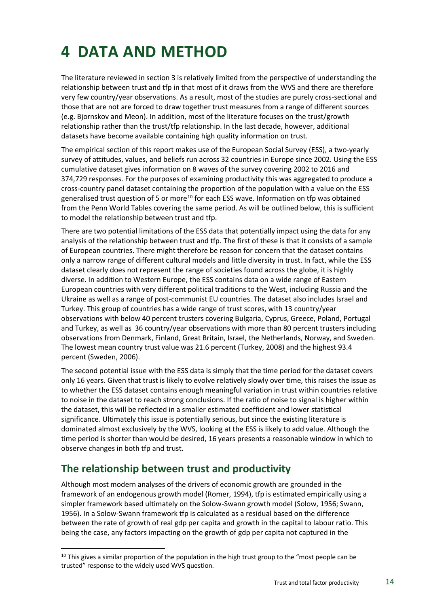## <span id="page-13-0"></span>**4 DATA AND METHOD**

The literature reviewed in section 3 is relatively limited from the perspective of understanding the relationship between trust and tfp in that most of it draws from the WVS and there are therefore very few country/year observations. As a result, most of the studies are purely cross-sectional and those that are not are forced to draw together trust measures from a range of different sources (e.g. Bjornskov and Meon). In addition, most of the literature focuses on the trust/growth relationship rather than the trust/tfp relationship. In the last decade, however, additional datasets have become available containing high quality information on trust.

The empirical section of this report makes use of the European Social Survey (ESS), a two-yearly survey of attitudes, values, and beliefs run across 32 countries in Europe since 2002. Using the ESS cumulative dataset gives information on 8 waves of the survey covering 2002 to 2016 and 374,729 responses. For the purposes of examining productivity this was aggregated to produce a cross-country panel dataset containing the proportion of the population with a value on the ESS generalised trust question of 5 or more<sup>10</sup> for each ESS wave. Information on tfp was obtained from the Penn World Tables covering the same period. As will be outlined below, this is sufficient to model the relationship between trust and tfp.

There are two potential limitations of the ESS data that potentially impact using the data for any analysis of the relationship between trust and tfp. The first of these is that it consists of a sample of European countries. There might therefore be reason for concern that the dataset contains only a narrow range of different cultural models and little diversity in trust. In fact, while the ESS dataset clearly does not represent the range of societies found across the globe, it is highly diverse. In addition to Western Europe, the ESS contains data on a wide range of Eastern European countries with very different political traditions to the West, including Russia and the Ukraine as well as a range of post-communist EU countries. The dataset also includes Israel and Turkey. This group of countries has a wide range of trust scores, with 13 country/year observations with below 40 percent trusters covering Bulgaria, Cyprus, Greece, Poland, Portugal and Turkey, as well as 36 country/year observations with more than 80 percent trusters including observations from Denmark, Finland, Great Britain, Israel, the Netherlands, Norway, and Sweden. The lowest mean country trust value was 21.6 percent (Turkey, 2008) and the highest 93.4 percent (Sweden, 2006).

The second potential issue with the ESS data is simply that the time period for the dataset covers only 16 years. Given that trust is likely to evolve relatively slowly over time, this raises the issue as to whether the ESS dataset contains enough meaningful variation in trust within countries relative to noise in the dataset to reach strong conclusions. If the ratio of noise to signal is higher within the dataset, this will be reflected in a smaller estimated coefficient and lower statistical significance. Ultimately this issue is potentially serious, but since the existing literature is dominated almost exclusively by the WVS, looking at the ESS is likely to add value. Although the time period is shorter than would be desired, 16 years presents a reasonable window in which to observe changes in both tfp and trust.

### <span id="page-13-1"></span>**The relationship between trust and productivity**

Although most modern analyses of the drivers of economic growth are grounded in the framework of an endogenous growth model (Romer, 1994), tfp is estimated empirically using a simpler framework based ultimately on the Solow-Swann growth model (Solow, 1956; Swann, 1956). In a Solow-Swann framework tfp is calculated as a residual based on the difference between the rate of growth of real gdp per capita and growth in the capital to labour ratio. This being the case, any factors impacting on the growth of gdp per capita not captured in the

 $10$  This gives a similar proportion of the population in the high trust group to the "most people can be trusted" response to the widely used WVS question.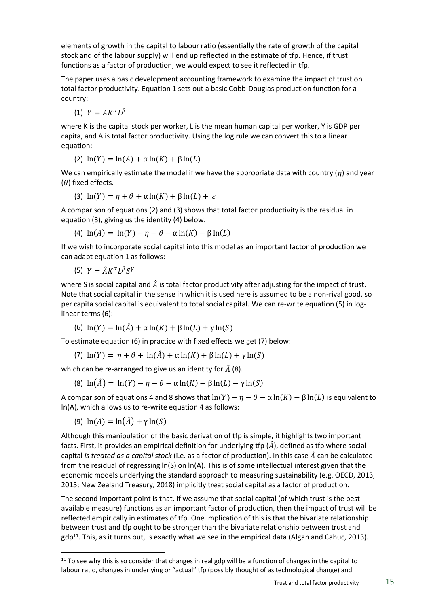elements of growth in the capital to labour ratio (essentially the rate of growth of the capital stock and of the labour supply) will end up reflected in the estimate of tfp. Hence, if trust functions as a factor of production, we would expect to see it reflected in tfp.

The paper uses a basic development accounting framework to examine the impact of trust on total factor productivity. Equation 1 sets out a basic Cobb-Douglas production function for a country:

(1)  $Y = AK^{\alpha}L^{\beta}$ 

where K is the capital stock per worker, L is the mean human capital per worker, Y is GDP per capita, and A is total factor productivity. Using the log rule we can convert this to a linear equation:

(2)  $ln(Y) = ln(A) + \alpha ln(K) + \beta ln(L)$ 

We can empirically estimate the model if we have the appropriate data with country  $(\eta)$  and year  $(\theta)$  fixed effects.

(3) 
$$
\ln(Y) = \eta + \theta + \alpha \ln(K) + \beta \ln(L) + \varepsilon
$$

A comparison of equations (2) and (3) shows that total factor productivity is the residual in equation (3), giving us the identity (4) below.

(4) 
$$
\ln(A) = \ln(Y) - \eta - \theta - \alpha \ln(K) - \beta \ln(L)
$$

If we wish to incorporate social capital into this model as an important factor of production we can adapt equation 1 as follows:

(5)  $Y = \hat{A}K^{\alpha}L^{\beta}S^{\gamma}$ 

where S is social capital and  $\hat{A}$  is total factor productivity after adjusting for the impact of trust. Note that social capital in the sense in which it is used here is assumed to be a non-rival good, so per capita social capital is equivalent to total social capital. We can re-write equation (5) in loglinear terms (6):

(6)  $ln(Y) = ln(\hat{A}) + \alpha ln(K) + \beta ln(L) + \gamma ln(S)$ 

To estimate equation (6) in practice with fixed effects we get (7) below:

(7)  $\ln(Y) = \eta + \theta + \ln(\hat{A}) + \alpha \ln(K) + \beta \ln(L) + \gamma \ln(S)$ 

which can be re-arranged to give us an identity for  $\hat{A}$  (8).

(8)  $ln(\hat{A}) = ln(Y) - \eta - \theta - \alpha ln(K) - \beta ln(L) - \gamma ln(S)$ 

A comparison of equations 4 and 8 shows that  $ln(Y) - \eta - \theta - \alpha ln(K) - \beta ln(L)$  is equivalent to ln(A), which allows us to re-write equation 4 as follows:

(9)  $ln(A) = ln(\hat{A}) + \gamma ln(S)$ 

Although this manipulation of the basic derivation of tfp is simple, it highlights two important facts. First, it provides an empirical definition for underlying tfp  $(\hat{A})$ , defined as tfp where social capital *is treated as a capital stock* (i.e. as a factor of production). In this case  $\hat{A}$  can be calculated from the residual of regressing ln(S) on ln(A). This is of some intellectual interest given that the economic models underlying the standard approach to measuring sustainability (e.g. OECD, 2013, 2015; New Zealand Treasury, 2018) implicitly treat social capital as a factor of production.

The second important point is that, if we assume that social capital (of which trust is the best available measure) functions as an important factor of production, then the impact of trust will be reflected empirically in estimates of tfp. One implication of this is that the bivariate relationship between trust and tfp ought to be stronger than the bivariate relationship between trust and  $gdp^{11}$ . This, as it turns out, is exactly what we see in the empirical data (Algan and Cahuc, 2013).

 $11$  To see why this is so consider that changes in real gdp will be a function of changes in the capital to labour ratio, changes in underlying or "actual" tfp (possibly thought of as technological change) and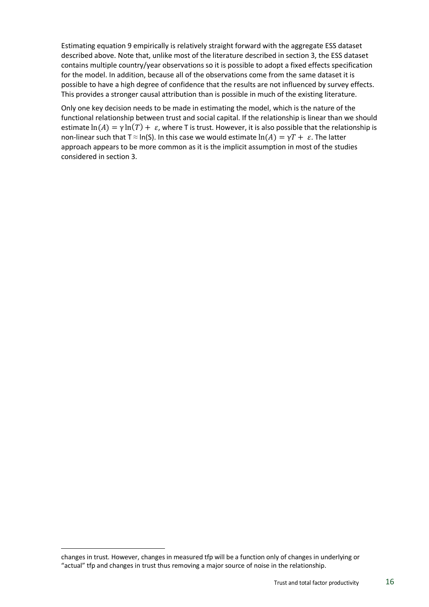Estimating equation 9 empirically is relatively straight forward with the aggregate ESS dataset described above. Note that, unlike most of the literature described in section 3, the ESS dataset contains multiple country/year observations so it is possible to adopt a fixed effects specification for the model. In addition, because all of the observations come from the same dataset it is possible to have a high degree of confidence that the results are not influenced by survey effects. This provides a stronger causal attribution than is possible in much of the existing literature.

Only one key decision needs to be made in estimating the model, which is the nature of the functional relationship between trust and social capital. If the relationship is linear than we should estimate  $\ln(A) = \gamma \ln(T) + \varepsilon$ , where T is trust. However, it is also possible that the relationship is non-linear such that T  $\approx$  ln(S). In this case we would estimate  $ln(A) = \gamma T + \varepsilon$ . The latter approach appears to be more common as it is the implicit assumption in most of the studies considered in section 3.

changes in trust. However, changes in measured tfp will be a function only of changes in underlying or "actual" tfp and changes in trust thus removing a major source of noise in the relationship.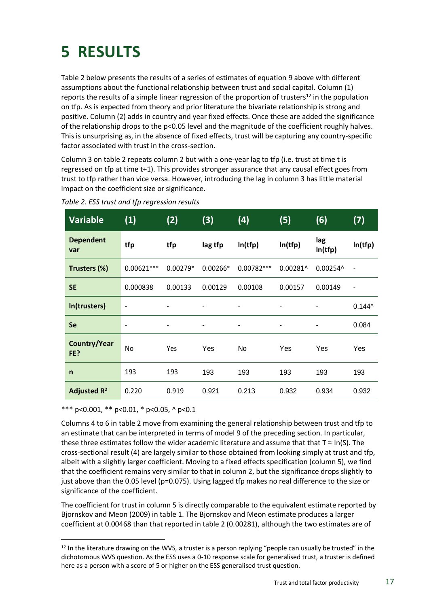## <span id="page-16-0"></span>**5 RESULTS**

Table 2 below presents the results of a series of estimates of equation 9 above with different assumptions about the functional relationship between trust and social capital. Column (1) reports the results of a simple linear regression of the proportion of trusters<sup>12</sup> in the population on tfp. As is expected from theory and prior literature the bivariate relationship is strong and positive. Column (2) adds in country and year fixed effects. Once these are added the significance of the relationship drops to the p<0.05 level and the magnitude of the coefficient roughly halves. This is unsurprising as, in the absence of fixed effects, trust will be capturing any country-specific factor associated with trust in the cross-section.

Column 3 on table 2 repeats column 2 but with a one-year lag to tfp (i.e. trust at time t is regressed on tfp at time t+1). This provides stronger assurance that any causal effect goes from trust to tfp rather than vice versa. However, introducing the lag in column 3 has little material impact on the coefficient size or significance.

| <b>Variable</b>         | (1)                      | (2)                          | (3)        | (4)          | (5)        | (6)            | (7)                          |
|-------------------------|--------------------------|------------------------------|------------|--------------|------------|----------------|------------------------------|
| <b>Dependent</b><br>var | tfp                      | tfp                          | lag tfp    | ln(tfp)      | ln(tfp)    | lag<br>ln(tfp) | ln(tfp)                      |
| Trusters (%)            | $0.00621***$             | $0.00279*$                   | $0.00266*$ | $0.00782***$ | $0.00281^$ | 0.00254^       | $\overline{\phantom{a}}$     |
| <b>SE</b>               | 0.000838                 | 0.00133                      | 0.00129    | 0.00108      | 0.00157    | 0.00149        | $\qquad \qquad \blacksquare$ |
| In(trusters)            | $\overline{\phantom{a}}$ | -                            |            | ۰            | ۰          | ۰              | $0.144^$                     |
| <b>Se</b>               | $\overline{\phantom{a}}$ | $\qquad \qquad \blacksquare$ | ۰          | ٠            | ۰          | ٠              | 0.084                        |
| Country/Year<br>FE?     | No                       | Yes                          | Yes        | No           | Yes        | Yes            | Yes                          |
| $\mathsf{n}$            | 193                      | 193                          | 193        | 193          | 193        | 193            | 193                          |
| Adjusted $R^2$          | 0.220                    | 0.919                        | 0.921      | 0.213        | 0.932      | 0.934          | 0.932                        |

<span id="page-16-1"></span>

|  |  |  |  |  | Table 2. ESS trust and tfp regression results |  |
|--|--|--|--|--|-----------------------------------------------|--|
|--|--|--|--|--|-----------------------------------------------|--|

\*\*\* p<0.001, \*\* p<0.01, \* p<0.05, ^ p<0.1

Columns 4 to 6 in table 2 move from examining the general relationship between trust and tfp to an estimate that can be interpreted in terms of model 9 of the preceding section. In particular, these three estimates follow the wider academic literature and assume that that  $T \approx \ln(S)$ . The cross-sectional result (4) are largely similar to those obtained from looking simply at trust and tfp, albeit with a slightly larger coefficient. Moving to a fixed effects specification (column 5), we find that the coefficient remains very similar to that in column 2, but the significance drops slightly to just above than the 0.05 level (p=0.075). Using lagged tfp makes no real difference to the size or significance of the coefficient.

The coefficient for trust in column 5 is directly comparable to the equivalent estimate reported by Bjornskov and Meon (2009) in table 1. The Bjornskov and Meon estimate produces a larger coefficient at 0.00468 than that reported in table 2 (0.00281), although the two estimates are of

 $12$  In the literature drawing on the WVS, a truster is a person replying "people can usually be trusted" in the dichotomous WVS question. As the ESS uses a 0-10 response scale for generalised trust, a truster is defined here as a person with a score of 5 or higher on the ESS generalised trust question.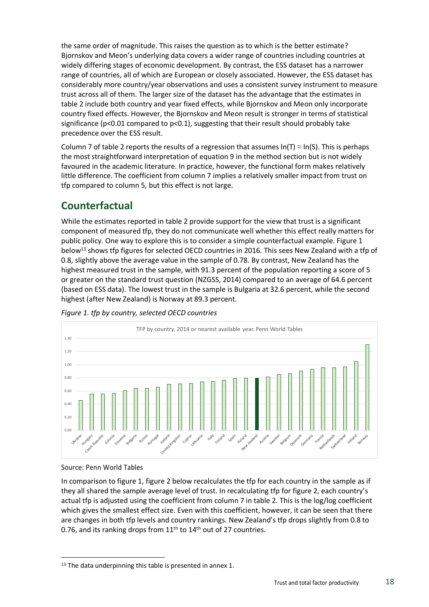the same order of magnitude. This raises the question as to which is the better estimate? Bjornskov and Meon's underlying data covers a wider range of countries including countries at widely differing stages of economic development. By contrast, the ESS dataset has a narrower range of countries, all of which are European or closely associated. However, the ESS dataset has considerably more country/year observations and uses a consistent survey instrument to measure trust across all of them. The larger size of the dataset has the advantage that the estimates in table 2 include both country and year fixed effects, while Bjornskov and Meon only incorporate country fixed effects. However, the Bjornskov and Meon result is stronger in terms of statistical significance ( $p$ <0.01 compared to  $p$ <0.1), suggesting that their result should probably take precedence over the ESS result.

Column 7 of table 2 reports the results of a regression that assumes  $ln(T) \approx ln(S)$ . This is perhaps the most straightforward interpretation of equation 9 in the method section but is not widely favoured in the academic literature. In practice, however, the functional form makes relatively little difference. The coefficient from column 7 implies a relatively smaller impact from trust on tfp compared to column 5, but this effect is not large.

### <span id="page-17-0"></span>**Counterfactual**

While the estimates reported in table 2 provide support for the view that trust is a significant component of measured tfp, they do not communicate well whether this effect really matters for public policy. One way to explore this is to consider a simple counterfactual example. Figure 1 below<sup>13</sup> shows tfp figures for selected OECD countries in 2016. This sees New Zealand with a tfp of 0.8, slightly above the average value in the sample of 0.78. By contrast, New Zealand has the highest measured trust in the sample, with 91.3 percent of the population reporting a score of 5 or greater on the standard trust question (NZGSS, 2014) compared to an average of 64.6 percent (based on ESS data). The lowest trust in the sample is Bulgaria at 32.6 percent, while the second highest (after New Zealand) is Norway at 89.3 percent.



<span id="page-17-1"></span>

#### Source: Penn World Tables

In comparison to figure 1, figure 2 below recalculates the tfp for each country in the sample as if they all shared the sample average level of trust. In recalculating tfp for figure 2, each country's actual tfp is adjusted using the coefficient from column 7 in table 2. This is the log/log coefficient which gives the smallest effect size. Even with this coefficient, however, it can be seen that there are changes in both tfp levels and country rankings. New Zealand's tfp drops slightly from 0.8 to 0.76, and its ranking drops from  $11<sup>th</sup>$  to  $14<sup>th</sup>$  out of 27 countries.

<sup>&</sup>lt;sup>13</sup> The data underpinning this table is presented in annex 1.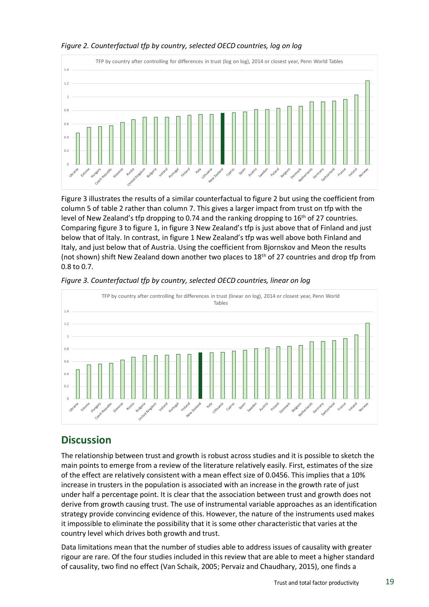

#### <span id="page-18-0"></span>*Figure 2. Counterfactual tfp by country, selected OECD countries, log on log*

Figure 3 illustrates the results of a similar counterfactual to figure 2 but using the coefficient from column 5 of table 2 rather than column 7. This gives a larger impact from trust on tfp with the level of New Zealand's tfp dropping to 0.74 and the ranking dropping to  $16<sup>th</sup>$  of 27 countries. Comparing figure 3 to figure 1, in figure 3 New Zealand's tfp is just above that of Finland and just below that of Italy. In contrast, in figure 1 New Zealand's tfp was well above both Finland and Italy, and just below that of Austria. Using the coefficient from Bjornskov and Meon the results (not shown) shift New Zealand down another two places to  $18<sup>th</sup>$  of 27 countries and drop tfp from 0.8 to 0.7.



<span id="page-18-1"></span>*Figure 3. Counterfactual tfp by country, selected OECD countries, linear on log*

#### <span id="page-18-2"></span>**Discussion**

The relationship between trust and growth is robust across studies and it is possible to sketch the main points to emerge from a review of the literature relatively easily. First, estimates of the size of the effect are relatively consistent with a mean effect size of 0.0456. This implies that a 10% increase in trusters in the population is associated with an increase in the growth rate of just under half a percentage point. It is clear that the association between trust and growth does not derive from growth causing trust. The use of instrumental variable approaches as an identification strategy provide convincing evidence of this. However, the nature of the instruments used makes it impossible to eliminate the possibility that it is some other characteristic that varies at the country level which drives both growth and trust.

Data limitations mean that the number of studies able to address issues of causality with greater rigour are rare. Of the four studies included in this review that are able to meet a higher standard of causality, two find no effect (Van Schaik, 2005; Pervaiz and Chaudhary, 2015), one finds a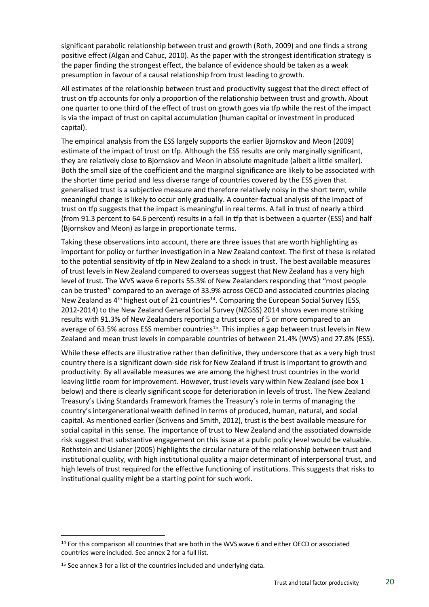significant parabolic relationship between trust and growth (Roth, 2009) and one finds a strong positive effect (Algan and Cahuc, 2010). As the paper with the strongest identification strategy is the paper finding the strongest effect, the balance of evidence should be taken as a weak presumption in favour of a causal relationship from trust leading to growth.

All estimates of the relationship between trust and productivity suggest that the direct effect of trust on tfp accounts for only a proportion of the relationship between trust and growth. About one quarter to one third of the effect of trust on growth goes via tfp while the rest of the impact is via the impact of trust on capital accumulation (human capital or investment in produced capital).

The empirical analysis from the ESS largely supports the earlier Bjornskov and Meon (2009) estimate of the impact of trust on tfp. Although the ESS results are only marginally significant, they are relatively close to Bjornskov and Meon in absolute magnitude (albeit a little smaller). Both the small size of the coefficient and the marginal significance are likely to be associated with the shorter time period and less diverse range of countries covered by the ESS given that generalised trust is a subjective measure and therefore relatively noisy in the short term, while meaningful change is likely to occur only gradually. A counter-factual analysis of the impact of trust on tfp suggests that the impact is meaningful in real terms. A fall in trust of nearly a third (from 91.3 percent to 64.6 percent) results in a fall in tfp that is between a quarter (ESS) and half (Bjornskov and Meon) as large in proportionate terms.

Taking these observations into account, there are three issues that are worth highlighting as important for policy or further investigation in a New Zealand context. The first of these is related to the potential sensitivity of tfp in New Zealand to a shock in trust. The best available measures of trust levels in New Zealand compared to overseas suggest that New Zealand has a very high level of trust. The WVS wave 6 reports 55.3% of New Zealanders responding that "most people can be trusted" compared to an average of 33.9% across OECD and associated countries placing New Zealand as  $4<sup>th</sup>$  highest out of 21 countries<sup>14</sup>. Comparing the European Social Survey (ESS, 2012-2014) to the New Zealand General Social Survey (NZGSS) 2014 shows even more striking results with 91.3% of New Zealanders reporting a trust score of 5 or more compared to an average of 63.5% across ESS member countries<sup>15</sup>. This implies a gap between trust levels in New Zealand and mean trust levels in comparable countries of between 21.4% (WVS) and 27.8% (ESS).

While these effects are illustrative rather than definitive, they underscore that as a very high trust country there is a significant down-side risk for New Zealand if trust is important to growth and productivity. By all available measures we are among the highest trust countries in the world leaving little room for improvement. However, trust levels vary within New Zealand (see box 1 below) and there is clearly significant scope for deterioration in levels of trust. The New Zealand Treasury's Living Standards Framework frames the Treasury's role in terms of managing the country's intergenerational wealth defined in terms of produced, human, natural, and social capital. As mentioned earlier (Scrivens and Smith, 2012), trust is the best available measure for social capital in this sense. The importance of trust to New Zealand and the associated downside risk suggest that substantive engagement on this issue at a public policy level would be valuable. Rothstein and Uslaner (2005) highlights the circular nature of the relationship between trust and institutional quality, with high institutional quality a major determinant of interpersonal trust, and high levels of trust required for the effective functioning of institutions. This suggests that risks to institutional quality might be a starting point for such work.

<sup>&</sup>lt;sup>14</sup> For this comparison all countries that are both in the WVS wave 6 and either OECD or associated countries were included. See annex 2 for a full list.

<sup>&</sup>lt;sup>15</sup> See annex 3 for a list of the countries included and underlying data.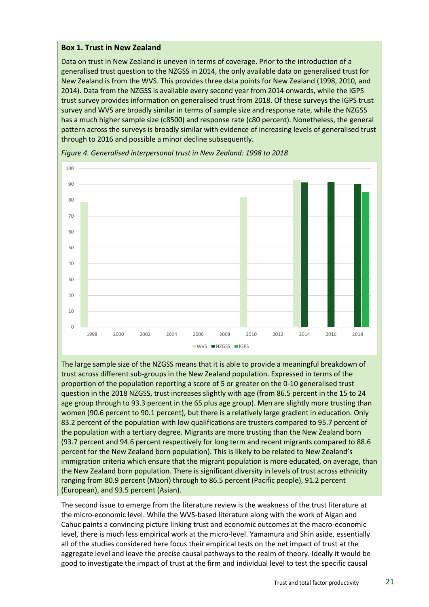#### <span id="page-20-0"></span>**Box 1. Trust in New Zealand**

Data on trust in New Zealand is uneven in terms of coverage. Prior to the introduction of a generalised trust question to the NZGSS in 2014, the only available data on generalised trust for New Zealand is from the WVS. This provides three data points for New Zealand (1998, 2010, and 2014). Data from the NZGSS is available every second year from 2014 onwards, while the IGPS trust survey provides information on generalised trust from 2018. Of these surveys the IGPS trust survey and WVS are broadly similar in terms of sample size and response rate, while the NZGSS has a much higher sample size (c8500) and response rate (c80 percent). Nonetheless, the general pattern across the surveys is broadly similar with evidence of increasing levels of generalised trust through to 2016 and possible a minor decline subsequently.



<span id="page-20-1"></span>*Figure 4. Generalised interpersonal trust in New Zealand: 1998 to 2018*

The large sample size of the NZGSS means that it is able to provide a meaningful breakdown of trust across different sub-groups in the New Zealand population. Expressed in terms of the proportion of the population reporting a score of 5 or greater on the 0-10 generalised trust question in the 2018 NZGSS, trust increases slightly with age (from 86.5 percent in the 15 to 24 age group through to 93.3 percent in the 65 plus age group). Men are slightly more trusting than women (90.6 percent to 90.1 percent), but there is a relatively large gradient in education. Only 83.2 percent of the population with low qualifications are trusters compared to 95.7 percent of the population with a tertiary degree. Migrants are more trusting than the New Zealand born (93.7 percent and 94.6 percent respectively for long term and recent migrants compared to 88.6 percent for the New Zealand born population). This is likely to be related to New Zealand's immigration criteria which ensure that the migrant population is more educated, on average, than the New Zealand born population. There is significant diversity in levels of trust across ethnicity ranging from 80.9 percent (Māori) through to 86.5 percent (Pacific people), 91.2 percent (European), and 93.5 percent (Asian).

The second issue to emerge from the literature review is the weakness of the trust literature at the micro-economic level. While the WVS-based literature along with the work of Algan and Cahuc paints a convincing picture linking trust and economic outcomes at the macro-economic level, there is much less empirical work at the micro-level. Yamamura and Shin aside, essentially all of the studies considered here focus their empirical tests on the net impact of trust at the aggregate level and leave the precise causal pathways to the realm of theory. Ideally it would be good to investigate the impact of trust at the firm and individual level to test the specific causal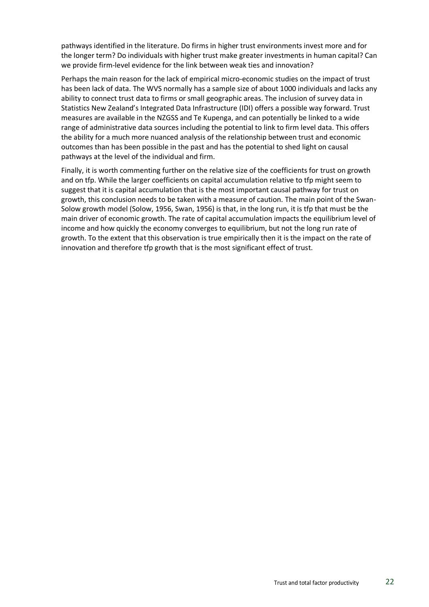pathways identified in the literature. Do firms in higher trust environments invest more and for the longer term? Do individuals with higher trust make greater investments in human capital? Can we provide firm-level evidence for the link between weak ties and innovation?

Perhaps the main reason for the lack of empirical micro-economic studies on the impact of trust has been lack of data. The WVS normally has a sample size of about 1000 individuals and lacks any ability to connect trust data to firms or small geographic areas. The inclusion of survey data in Statistics New Zealand's Integrated Data Infrastructure (IDI) offers a possible way forward. Trust measures are available in the NZGSS and Te Kupenga, and can potentially be linked to a wide range of administrative data sources including the potential to link to firm level data. This offers the ability for a much more nuanced analysis of the relationship between trust and economic outcomes than has been possible in the past and has the potential to shed light on causal pathways at the level of the individual and firm.

Finally, it is worth commenting further on the relative size of the coefficients for trust on growth and on tfp. While the larger coefficients on capital accumulation relative to tfp might seem to suggest that it is capital accumulation that is the most important causal pathway for trust on growth, this conclusion needs to be taken with a measure of caution. The main point of the Swan-Solow growth model (Solow, 1956, Swan, 1956) is that, in the long run, it is tfp that must be the main driver of economic growth. The rate of capital accumulation impacts the equilibrium level of income and how quickly the economy converges to equilibrium, but not the long run rate of growth. To the extent that this observation is true empirically then it is the impact on the rate of innovation and therefore tfp growth that is the most significant effect of trust.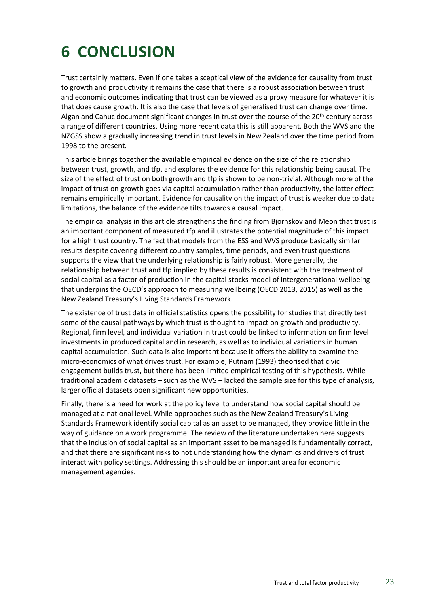## <span id="page-22-0"></span>**6 CONCLUSION**

Trust certainly matters. Even if one takes a sceptical view of the evidence for causality from trust to growth and productivity it remains the case that there is a robust association between trust and economic outcomes indicating that trust can be viewed as a proxy measure for whatever it is that does cause growth. It is also the case that levels of generalised trust can change over time. Algan and Cahuc document significant changes in trust over the course of the 20<sup>th</sup> century across a range of different countries. Using more recent data this is still apparent. Both the WVS and the NZGSS show a gradually increasing trend in trust levels in New Zealand over the time period from 1998 to the present.

This article brings together the available empirical evidence on the size of the relationship between trust, growth, and tfp, and explores the evidence for this relationship being causal. The size of the effect of trust on both growth and tfp is shown to be non-trivial. Although more of the impact of trust on growth goes via capital accumulation rather than productivity, the latter effect remains empirically important. Evidence for causality on the impact of trust is weaker due to data limitations, the balance of the evidence tilts towards a causal impact.

The empirical analysis in this article strengthens the finding from Bjornskov and Meon that trust is an important component of measured tfp and illustrates the potential magnitude of this impact for a high trust country. The fact that models from the ESS and WVS produce basically similar results despite covering different country samples, time periods, and even trust questions supports the view that the underlying relationship is fairly robust. More generally, the relationship between trust and tfp implied by these results is consistent with the treatment of social capital as a factor of production in the capital stocks model of intergenerational wellbeing that underpins the OECD's approach to measuring wellbeing (OECD 2013, 2015) as well as the New Zealand Treasury's Living Standards Framework.

The existence of trust data in official statistics opens the possibility for studies that directly test some of the causal pathways by which trust is thought to impact on growth and productivity. Regional, firm level, and individual variation in trust could be linked to information on firm level investments in produced capital and in research, as well as to individual variations in human capital accumulation. Such data is also important because it offers the ability to examine the micro-economics of what drives trust. For example, Putnam (1993) theorised that civic engagement builds trust, but there has been limited empirical testing of this hypothesis. While traditional academic datasets – such as the WVS – lacked the sample size for this type of analysis, larger official datasets open significant new opportunities.

Finally, there is a need for work at the policy level to understand how social capital should be managed at a national level. While approaches such as the New Zealand Treasury's Living Standards Framework identify social capital as an asset to be managed, they provide little in the way of guidance on a work programme. The review of the literature undertaken here suggests that the inclusion of social capital as an important asset to be managed is fundamentally correct, and that there are significant risks to not understanding how the dynamics and drivers of trust interact with policy settings. Addressing this should be an important area for economic management agencies.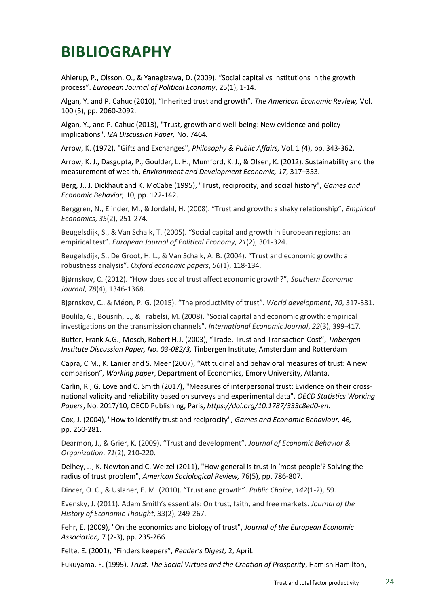### <span id="page-23-0"></span>**BIBLIOGRAPHY**

Ahlerup, P., Olsson, O., & Yanagizawa, D. (2009). "Social capital vs institutions in the growth process". *European Journal of Political Economy*, 25(1), 1-14.

Algan, Y. and P. Cahuc (2010), "Inherited trust and growth", *The American Economic Review,* Vol. 100 (5), pp. 2060-2092.

Algan, Y., and P. Cahuc (2013), "Trust, growth and well-being: New evidence and policy implications", *IZA Discussion Paper,* No. 7464*.*

Arrow, K. (1972), "Gifts and Exchanges", *Philosophy & Public Affairs,* Vol. 1 *(*4), pp. 343-362.

Arrow, K. J., Dasgupta, P., Goulder, L. H., Mumford, K. J., & Olsen, K. (2012). Sustainability and the measurement of wealth, *Environment and Development Economic, 17*, 317–353.

Berg, J., J. Dickhaut and K. McCabe (1995), "Trust, reciprocity, and social history", *Games and Economic Behavior,* 10, pp. 122-142.

Berggren, N., Elinder, M., & Jordahl, H. (2008). "Trust and growth: a shaky relationship", *Empirical Economics*, *35*(2), 251-274.

Beugelsdijk, S., & Van Schaik, T. (2005). "Social capital and growth in European regions: an empirical test". *European Journal of Political Economy*, *21*(2), 301-324.

Beugelsdijk, S., De Groot, H. L., & Van Schaik, A. B. (2004). "Trust and economic growth: a robustness analysis". *Oxford economic papers*, *56*(1), 118-134.

Bjørnskov, C. (2012). "How does social trust affect economic growth?", *Southern Economic Journal*, *78*(4), 1346-1368.

Bjørnskov, C., & Méon, P. G. (2015). "The productivity of trust". *World development*, *70*, 317-331.

Boulila, G., Bousrih, L., & Trabelsi, M. (2008). "Social capital and economic growth: empirical investigations on the transmission channels". *International Economic Journal*, *22*(3), 399-417.

Butter, Frank A.G.; Mosch, Robert H.J. (2003), "Trade, Trust and Transaction Cost", *Tinbergen Institute Discussion Paper, No. 03-082/3,* Tinbergen Institute, Amsterdam and Rotterdam

Capra, C.M., K. Lanier and S. Meer (2007), "Attitudinal and behavioral measures of trust: A new comparison", *Working paper*, Department of Economics, Emory University, Atlanta.

Carlin, R., G. Love and C. Smith (2017), "Measures of interpersonal trust: Evidence on their crossnational validity and reliability based on surveys and experimental data", *OECD Statistics Working Papers*, No. 2017/10, OECD Publishing, Paris, *<https://doi.org/10.1787/333c8ed0-en>*.

Cox, J. (2004), "How to identify trust and reciprocity", *Games and Economic Behaviour,* 46*,* pp. 260-281.

Dearmon, J., & Grier, K. (2009). "Trust and development". *Journal of Economic Behavior & Organization*, *71*(2), 210-220.

Delhey, J., K. Newton and C. Welzel (2011), "How general is trust in 'most people'? Solving the radius of trust problem", *American Sociological Review,* 76(5), pp. 786-807.

Dincer, O. C., & Uslaner, E. M. (2010). "Trust and growth". *Public Choice*, *142*(1-2), 59.

Evensky, J. (2011). Adam Smith's essentials: On trust, faith, and free markets. *Journal of the History of Economic Thought*, *33*(2), 249-267.

Fehr, E. (2009), "On the economics and biology of trust", *Journal of the European Economic Association,* 7 (2-3), pp. 235-266.

Felte, E. (2001), "Finders keepers", *Reader's Digest,* 2, April*.*

Fukuyama, F. (1995), *Trust: The Social Virtues and the Creation of Prosperity*, Hamish Hamilton,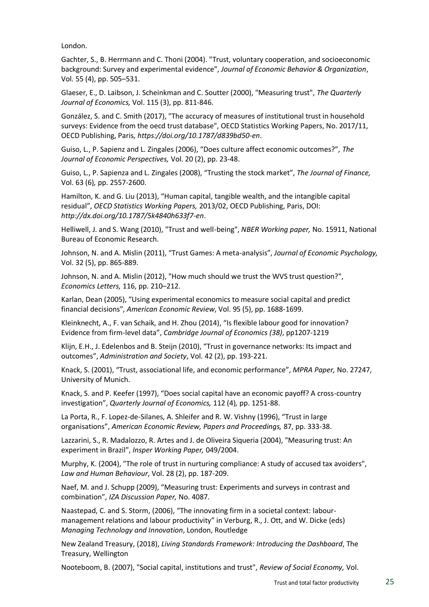London.

Gachter, S., B. Herrmann and C. Thoni (2004). "Trust, voluntary cooperation, and socioeconomic background: Survey and experimental evidence", *Journal of Economic Behavior & Organization*, Vol. 55 (4), pp. 505–531.

Glaeser, E., D. Laibson, J. Scheinkman and C. Soutter (2000), "Measuring trust", *The Quarterly Journal of Economics,* Vol. 115 (3), pp. 811-846.

González, S. and C. Smith (2017), "The accuracy of measures of institutional trust in household surveys: Evidence from the oecd trust database", OECD Statistics Working Papers, No. 2017/11, OECD Publishing, Paris, *<https://doi.org/10.1787/d839bd50-en>*.

Guiso, L., P. Sapienz and L. Zingales (2006), "Does culture affect economic outcomes?", *The Journal of Economic Perspectives,* Vol. 20 (2), pp. 23-48.

Guiso, L., P. Sapienza and L. Zingales (2008), "Trusting the stock market", *The Journal of Finance,*  Vol. 63 (6)*,* pp. 2557-2600.

Hamilton, K. and G. Liu (2013), "Human capital, tangible wealth, and the intangible capital residual", *OECD Statistics Working Papers,* 2013/02, OECD Publishing, Paris, DOI: *<http://dx.doi.org/10.1787/5k4840h633f7-en>*.

Helliwell, J. and S. Wang (2010), "Trust and well-being", *NBER Working paper,* No. 15911, National Bureau of Economic Research.

Johnson, N. and A. Mislin (2011), "Trust Games: A meta-analysis", *Journal of Economic Psychology,*  Vol. 32 (5), pp. 865-889.

Johnson, N. and A. Mislin (2012), "How much should we trust the WVS trust question?", *Economics Letters,* 116, pp. 210–212.

Karlan, Dean (2005), "Using experimental economics to measure social capital and predict financial decisionsʺ, *American Economic Review*, Vol. 95 (5), pp. 1688-1699.

Kleinknecht, A., F. van Schaik, and H. Zhou (2014), "Is flexible labour good for innovation? Evidence from firm-level data", *Cambridge Journal of Economics (38)*, pp1207-1219

Klijn, E.H., J. Edelenbos and B. Steijn (2010), "Trust in governance networks: Its impact and outcomes", *Administration and Society*, Vol. 42 (2), pp. 193-221.

Knack, S. (2001), "Trust, associational life, and economic performance", *MPRA Paper,* No. 27247, University of Munich.

Knack, S. and P. Keefer (1997), "Does social capital have an economic payoff? A cross-country investigation", *Quarterly Journal of Economics,* 112 (4)*,* pp. 1251-88.

La Porta, R., F. Lopez-de-Silanes, A. Shleifer and R. W. Vishny (1996), "Trust in large organisations", *American Economic Review, Papers and Proceedings,* 87, pp. 333-38.

Lazzarini, S., R. Madalozzo, R. Artes and J. de Oliveira Siqueria (2004), "Measuring trust: An experiment in Brazil", *Insper Working Paper,* 049/2004.

Murphy, K. (2004), "The role of trust in nurturing compliance: A study of accused tax avoiders", *Law and Human Behaviour*, Vol. 28 (2), pp. 187-209.

Naef, M. and J. Schupp (2009), "Measuring trust: Experiments and surveys in contrast and combination", *IZA Discussion Paper,* No. 4087.

Naastepad, C. and S. Storm, (2006), "The innovating firm in a societal context: labourmanagement relations and labour productivity" in Verburg, R., J. Ott, and W. Dicke (eds) *Managing Technology and Innovation*, London, Routledge

New Zealand Treasury, (2018), *Living Standards Framework: Introducing the Dashboard*, The Treasury, Wellington

Nooteboom, B. (2007), "Social capital, institutions and trust", *Review of Social Economy,* Vol.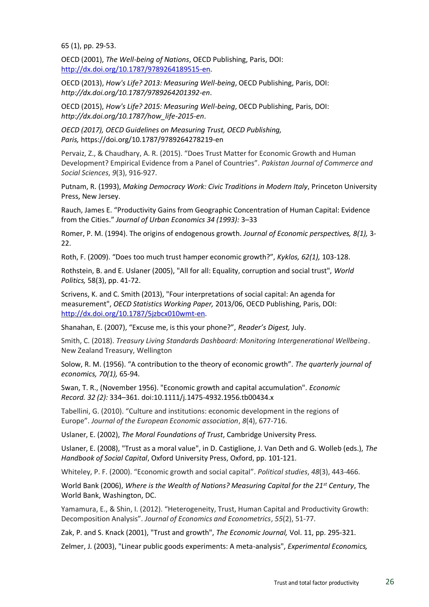65 (1), pp. 29-53.

OECD (2001), *The Well-being of Nations*, OECD Publishing, Paris, DOI: [http://dx.doi.org/10.1787/9789264189515-en.](http://dx.doi.org/10.1787/9789264189515-en)

OECD (2013), *How's Life? 2013: Measuring Well-being*, OECD Publishing, Paris, DOI: *<http://dx.doi.org/10.1787/9789264201392-en>*.

OECD (2015), *How's Life? 2015: Measuring Well-being*, OECD Publishing, Paris, DOI: *[http://dx.doi.org/10.1787/how\\_life-2015-en](http://dx.doi.org/10.1787/how_life-2015-en)*.

*OECD (2017), OECD Guidelines on Measuring Trust, OECD Publishing, Paris,* <https://doi.org/10.1787/9789264278219-en>

Pervaiz, Z., & Chaudhary, A. R. (2015). "Does Trust Matter for Economic Growth and Human Development? Empirical Evidence from a Panel of Countries". *Pakistan Journal of Commerce and Social Sciences*, *9*(3), 916-927.

Putnam, R. (1993), *Making Democracy Work: Civic Traditions in Modern Italy*, Princeton University Press, New Jersey.

Rauch, James E. "Productivity Gains from Geographic Concentration of Human Capital: Evidence from the Cities." *Journal of Urban Economics 34 (1993):* 3–33

Romer, P. M. (1994). The origins of endogenous growth. *Journal of Economic perspectives, 8(1),* 3-  $22.$ 

Roth, F. (2009). "Does too much trust hamper economic growth?", *Kyklos, 62(1),* 103-128.

Rothstein, B. and E. Uslaner (2005), "All for all: Equality, corruption and social trust", *World Politics,* 58(3), pp. 41-72.

Scrivens, K. and C. Smith (2013), "Four interpretations of social capital: An agenda for measurement", *OECD Statistics Working Paper,* 2013/06, OECD Publishing, Paris, DOI: [http://dx.doi.org/10.1787/5jzbcx010wmt-en.](http://dx.doi.org/10.1787/5jzbcx010wmt-en)

Shanahan, E. (2007), "Excuse me, is this your phone?", *Reader's Digest,* July.

Smith, C. (2018). *Treasury Living Standards Dashboard: Monitoring Intergenerational Wellbeing*. New Zealand Treasury, Wellington

Solow, R. M. (1956). "A contribution to the theory of economic growth". *The quarterly journal of economics, 70(1),* 65-94.

Swan, T. R., (November 1956). "Economic growth and capital accumulation". *Economic Record. 32 (2):* 334–361. [doi](https://en.wikipedia.org/wiki/Digital_object_identifier)[:10.1111/j.1475-4932.1956.tb00434.x](https://doi.org/10.1111%2Fj.1475-4932.1956.tb00434.x)

Tabellini, G. (2010). "Culture and institutions: economic development in the regions of Europe". *Journal of the European Economic association*, *8*(4), 677-716.

Uslaner, E. (2002), *The Moral Foundations of Trust*, Cambridge University Press.

Uslaner, E. (2008), "Trust as a moral value", in D. Castiglione, J. Van Deth and G. Wolleb (eds.), *The Handbook of Social Capital*, Oxford University Press, Oxford, pp. 101-121.

Whiteley, P. F. (2000). "Economic growth and social capital". *Political studies*, *48*(3), 443-466.

World Bank (2006), *Where is the Wealth of Nations? Measuring Capital for the 21st Century*, The World Bank, Washington, DC.

Yamamura, E., & Shin, I. (2012). "Heterogeneity, Trust, Human Capital and Productivity Growth: Decomposition Analysis". *Journal of Economics and Econometrics*, *55*(2), 51-77.

Zak, P. and S. Knack (2001), "Trust and growth", *The Economic Journal,* Vol. 11, pp. 295-321.

Zelmer, J. (2003), "Linear public goods experiments: A meta-analysis", *Experimental Economics,*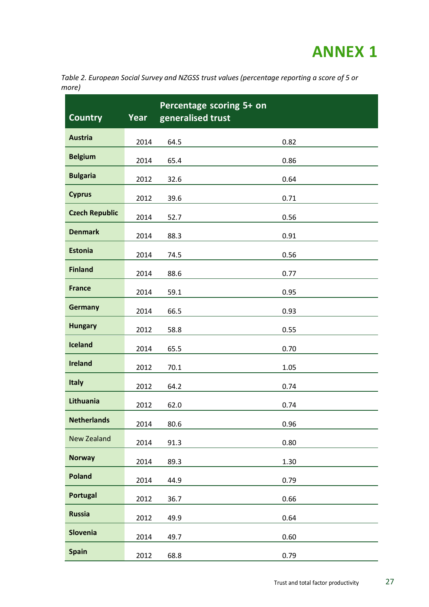### **ANNEX 1**

<span id="page-26-1"></span><span id="page-26-0"></span>*Table 2. European Social Survey and NZGSS trust values (percentage reporting a score of 5 or more)*

| <b>Country</b>        | Year | Percentage scoring 5+ on<br>generalised trust |      |
|-----------------------|------|-----------------------------------------------|------|
| <b>Austria</b>        | 2014 | 64.5                                          | 0.82 |
| <b>Belgium</b>        | 2014 | 65.4                                          | 0.86 |
| <b>Bulgaria</b>       | 2012 | 32.6                                          | 0.64 |
| <b>Cyprus</b>         | 2012 | 39.6                                          | 0.71 |
| <b>Czech Republic</b> | 2014 | 52.7                                          | 0.56 |
| <b>Denmark</b>        | 2014 | 88.3                                          | 0.91 |
| <b>Estonia</b>        | 2014 | 74.5                                          | 0.56 |
| <b>Finland</b>        | 2014 | 88.6                                          | 0.77 |
| <b>France</b>         | 2014 | 59.1                                          | 0.95 |
| <b>Germany</b>        | 2014 | 66.5                                          | 0.93 |
| <b>Hungary</b>        | 2012 | 58.8                                          | 0.55 |
| <b>Iceland</b>        | 2014 | 65.5                                          | 0.70 |
| <b>Ireland</b>        | 2012 | 70.1                                          | 1.05 |
| <b>Italy</b>          | 2012 | 64.2                                          | 0.74 |
| Lithuania             | 2012 | 62.0                                          | 0.74 |
| <b>Netherlands</b>    | 2014 | 80.6                                          | 0.96 |
| <b>New Zealand</b>    | 2014 | 91.3                                          | 0.80 |
| <b>Norway</b>         | 2014 | 89.3                                          | 1.30 |
| <b>Poland</b>         | 2014 | 44.9                                          | 0.79 |
| <b>Portugal</b>       | 2012 | 36.7                                          | 0.66 |
| <b>Russia</b>         | 2012 | 49.9                                          | 0.64 |
| <b>Slovenia</b>       | 2014 | 49.7                                          | 0.60 |
| <b>Spain</b>          | 2012 | 68.8                                          | 0.79 |